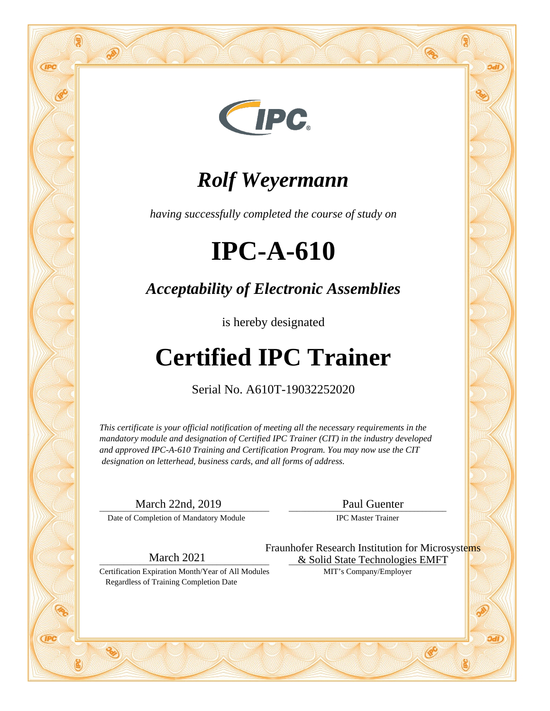

#### *Rolf Weyermann*

*having successfully completed the course of study on*

## **IPC-A-610**

*Acceptability of Electronic Assemblies*

is hereby designated

### **Certified IPC Trainer**

Serial No. A610T-19032252020

*This certificate is your official notification of meeting all the necessary requirements in the mandatory module and designation of Certified IPC Trainer (CIT) in the industry developed and approved IPC-A-610 Training and Certification Program. You may now use the CIT designation on letterhead, business cards, and all forms of address.*

\_\_\_\_\_\_\_\_\_\_\_\_\_\_\_\_\_\_\_\_\_\_\_\_\_\_\_\_\_\_\_\_\_\_\_\_\_\_\_\_\_\_ March 22nd, 2019

**GPC** 

**GPC** 

Date of Completion of Mandatory Module

\_\_\_\_\_\_\_\_\_\_\_\_\_\_\_\_\_\_\_\_\_\_\_\_\_\_\_\_\_\_\_\_\_\_\_\_\_\_\_ Paul Guenter

IPC Master Trainer

\_\_\_\_\_\_\_\_\_\_\_\_\_\_\_\_\_\_\_\_\_\_\_\_\_\_\_\_\_\_\_\_\_\_\_\_\_\_\_\_\_\_ March 2021

Certification Expiration Month/Year of All Modules Regardless of Training Completion Date

& Solid State Technologies EMFT MIT's Company/Employer Fraunhofer Research Institution for Microsystems